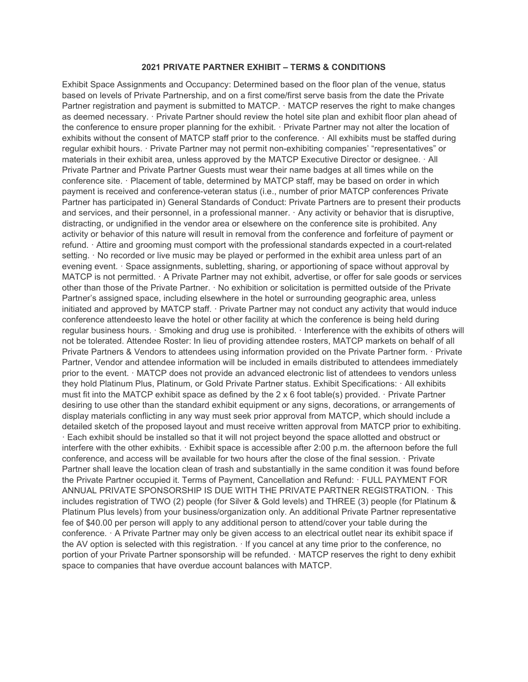## 2021 PRIVATE PARTNER EXHIBIT – TERMS & CONDITIONS

Exhibit Space Assignments and Occupancy: Determined based on the floor plan of the venue, status based on levels of Private Partnership, and on a first come/first serve basis from the date the Private Partner registration and payment is submitted to MATCP. · MATCP reserves the right to make changes as deemed necessary. · Private Partner should review the hotel site plan and exhibit floor plan ahead of the conference to ensure proper planning for the exhibit. · Private Partner may not alter the location of exhibits without the consent of MATCP staff prior to the conference. · All exhibits must be staffed during regular exhibit hours. · Private Partner may not permit non-exhibiting companies' "representatives" or materials in their exhibit area, unless approved by the MATCP Executive Director or designee. · All Private Partner and Private Partner Guests must wear their name badges at all times while on the conference site. · Placement of table, determined by MATCP staff, may be based on order in which payment is received and conference-veteran status (i.e., number of prior MATCP conferences Private Partner has participated in) General Standards of Conduct: Private Partners are to present their products and services, and their personnel, in a professional manner. · Any activity or behavior that is disruptive, distracting, or undignified in the vendor area or elsewhere on the conference site is prohibited. Any activity or behavior of this nature will result in removal from the conference and forfeiture of payment or refund. · Attire and grooming must comport with the professional standards expected in a court-related setting. · No recorded or live music may be played or performed in the exhibit area unless part of an evening event. · Space assignments, subletting, sharing, or apportioning of space without approval by MATCP is not permitted. · A Private Partner may not exhibit, advertise, or offer for sale goods or services other than those of the Private Partner. · No exhibition or solicitation is permitted outside of the Private Partner's assigned space, including elsewhere in the hotel or surrounding geographic area, unless initiated and approved by MATCP staff. · Private Partner may not conduct any activity that would induce conference attendeesto leave the hotel or other facility at which the conference is being held during regular business hours. · Smoking and drug use is prohibited. · Interference with the exhibits of others will not be tolerated. Attendee Roster: In lieu of providing attendee rosters, MATCP markets on behalf of all Private Partners & Vendors to attendees using information provided on the Private Partner form. · Private Partner, Vendor and attendee information will be included in emails distributed to attendees immediately prior to the event. · MATCP does not provide an advanced electronic list of attendees to vendors unless they hold Platinum Plus, Platinum, or Gold Private Partner status. Exhibit Specifications: · All exhibits must fit into the MATCP exhibit space as defined by the 2 x 6 foot table(s) provided. · Private Partner desiring to use other than the standard exhibit equipment or any signs, decorations, or arrangements of display materials conflicting in any way must seek prior approval from MATCP, which should include a detailed sketch of the proposed layout and must receive written approval from MATCP prior to exhibiting. · Each exhibit should be installed so that it will not project beyond the space allotted and obstruct or interfere with the other exhibits. · Exhibit space is accessible after 2:00 p.m. the afternoon before the full conference, and access will be available for two hours after the close of the final session. · Private Partner shall leave the location clean of trash and substantially in the same condition it was found before the Private Partner occupied it. Terms of Payment, Cancellation and Refund: · FULL PAYMENT FOR ANNUAL PRIVATE SPONSORSHIP IS DUE WITH THE PRIVATE PARTNER REGISTRATION. · This includes registration of TWO (2) people (for Silver & Gold levels) and THREE (3) people (for Platinum & Platinum Plus levels) from your business/organization only. An additional Private Partner representative fee of \$40.00 per person will apply to any additional person to attend/cover your table during the conference. · A Private Partner may only be given access to an electrical outlet near its exhibit space if the AV option is selected with this registration. · If you cancel at any time prior to the conference, no portion of your Private Partner sponsorship will be refunded. · MATCP reserves the right to deny exhibit space to companies that have overdue account balances with MATCP.